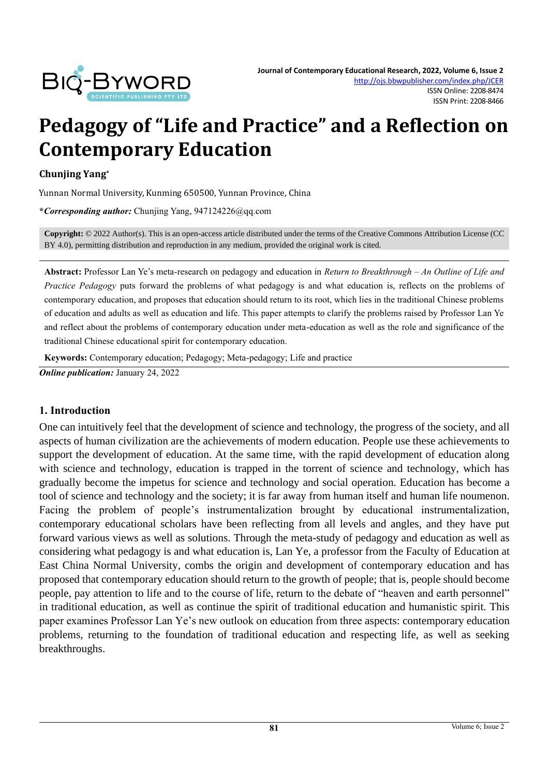

# **Pedagogy of "Life and Practice" and a Reflection on Contemporary Education**

#### **Chunjing Yang\***

Yunnan Normal University, Kunming 650500, Yunnan Province, China

**\****Corresponding author:* Chunjing Yang, 947124226@qq.com

**Copyright:** © 2022 Author(s). This is an open-access article distributed under the terms of th[e Creative Commons Attribution License \(CC](https://creativecommons.org/licenses/by/4.0/)  [BY 4.0\),](https://creativecommons.org/licenses/by/4.0/) permitting distribution and reproduction in any medium, provided the original work is cited.

**Abstract:** Professor Lan Ye's meta-research on pedagogy and education in *Return to Breakthrough – An Outline of Life and Practice Pedagogy* puts forward the problems of what pedagogy is and what education is, reflects on the problems of contemporary education, and proposes that education should return to its root, which lies in the traditional Chinese problems of education and adults as well as education and life. This paper attempts to clarify the problems raised by Professor Lan Ye and reflect about the problems of contemporary education under meta-education as well as the role and significance of the traditional Chinese educational spirit for contemporary education.

**Keywords:** Contemporary education; Pedagogy; Meta-pedagogy; Life and practice

*Online publication:* January 24, 2022

## **1. Introduction**

One can intuitively feel that the development of science and technology, the progress of the society, and all aspects of human civilization are the achievements of modern education. People use these achievements to support the development of education. At the same time, with the rapid development of education along with science and technology, education is trapped in the torrent of science and technology, which has gradually become the impetus for science and technology and social operation. Education has become a tool of science and technology and the society; it is far away from human itself and human life noumenon. Facing the problem of people's instrumentalization brought by educational instrumentalization, contemporary educational scholars have been reflecting from all levels and angles, and they have put forward various views as well as solutions. Through the meta-study of pedagogy and education as well as considering what pedagogy is and what education is, Lan Ye, a professor from the Faculty of Education at East China Normal University, combs the origin and development of contemporary education and has proposed that contemporary education should return to the growth of people; that is, people should become people, pay attention to life and to the course of life, return to the debate of "heaven and earth personnel" in traditional education, as well as continue the spirit of traditional education and humanistic spirit. This paper examines Professor Lan Ye's new outlook on education from three aspects: contemporary education problems, returning to the foundation of traditional education and respecting life, as well as seeking breakthroughs.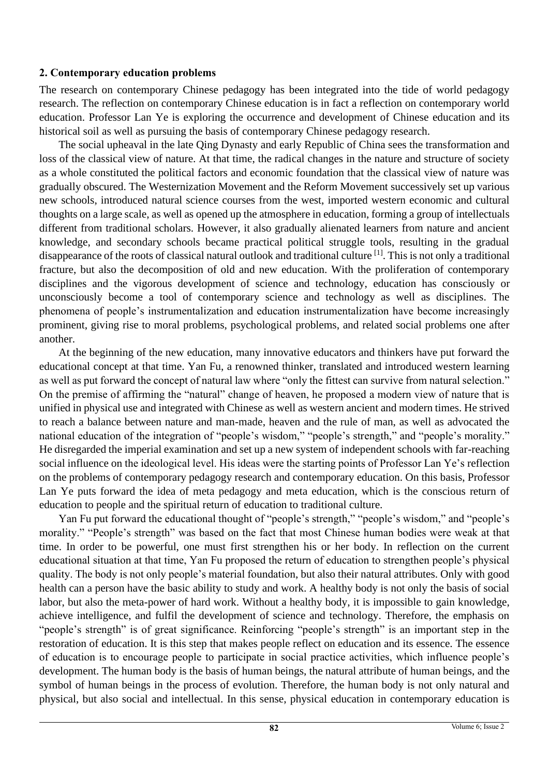## **2. Contemporary education problems**

The research on contemporary Chinese pedagogy has been integrated into the tide of world pedagogy research. The reflection on contemporary Chinese education is in fact a reflection on contemporary world education. Professor Lan Ye is exploring the occurrence and development of Chinese education and its historical soil as well as pursuing the basis of contemporary Chinese pedagogy research.

The social upheaval in the late Qing Dynasty and early Republic of China sees the transformation and loss of the classical view of nature. At that time, the radical changes in the nature and structure of society as a whole constituted the political factors and economic foundation that the classical view of nature was gradually obscured. The Westernization Movement and the Reform Movement successively set up various new schools, introduced natural science courses from the west, imported western economic and cultural thoughts on a large scale, as well as opened up the atmosphere in education, forming a group of intellectuals different from traditional scholars. However, it also gradually alienated learners from nature and ancient knowledge, and secondary schools became practical political struggle tools, resulting in the gradual disappearance of the roots of classical natural outlook and traditional culture [1]. This is not only a traditional fracture, but also the decomposition of old and new education. With the proliferation of contemporary disciplines and the vigorous development of science and technology, education has consciously or unconsciously become a tool of contemporary science and technology as well as disciplines. The phenomena of people's instrumentalization and education instrumentalization have become increasingly prominent, giving rise to moral problems, psychological problems, and related social problems one after another.

At the beginning of the new education, many innovative educators and thinkers have put forward the educational concept at that time. Yan Fu, a renowned thinker, translated and introduced western learning as well as put forward the concept of natural law where "only the fittest can survive from natural selection." On the premise of affirming the "natural" change of heaven, he proposed a modern view of nature that is unified in physical use and integrated with Chinese as well as western ancient and modern times. He strived to reach a balance between nature and man-made, heaven and the rule of man, as well as advocated the national education of the integration of "people's wisdom," "people's strength," and "people's morality." He disregarded the imperial examination and set up a new system of independent schools with far-reaching social influence on the ideological level. His ideas were the starting points of Professor Lan Ye's reflection on the problems of contemporary pedagogy research and contemporary education. On this basis, Professor Lan Ye puts forward the idea of meta pedagogy and meta education, which is the conscious return of education to people and the spiritual return of education to traditional culture.

Yan Fu put forward the educational thought of "people's strength," "people's wisdom," and "people's morality." "People's strength" was based on the fact that most Chinese human bodies were weak at that time. In order to be powerful, one must first strengthen his or her body. In reflection on the current educational situation at that time, Yan Fu proposed the return of education to strengthen people's physical quality. The body is not only people's material foundation, but also their natural attributes. Only with good health can a person have the basic ability to study and work. A healthy body is not only the basis of social labor, but also the meta-power of hard work. Without a healthy body, it is impossible to gain knowledge, achieve intelligence, and fulfil the development of science and technology. Therefore, the emphasis on "people's strength" is of great significance. Reinforcing "people's strength" is an important step in the restoration of education. It is this step that makes people reflect on education and its essence. The essence of education is to encourage people to participate in social practice activities, which influence people's development. The human body is the basis of human beings, the natural attribute of human beings, and the symbol of human beings in the process of evolution. Therefore, the human body is not only natural and physical, but also social and intellectual. In this sense, physical education in contemporary education is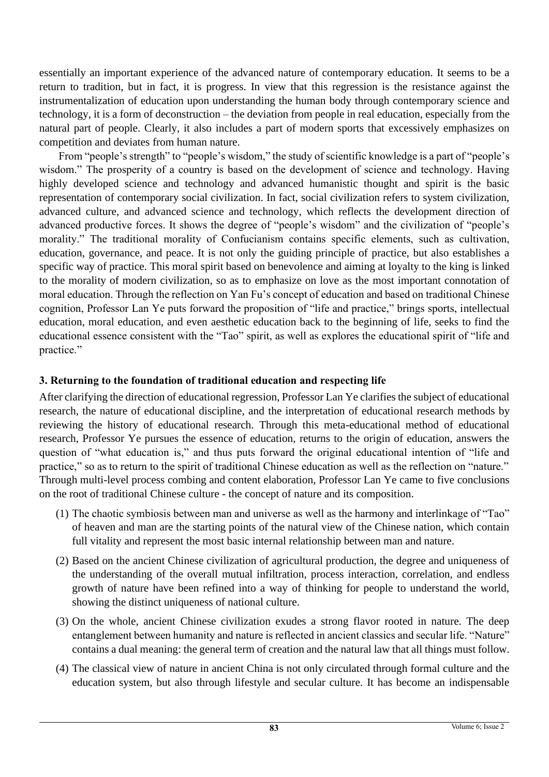essentially an important experience of the advanced nature of contemporary education. It seems to be a return to tradition, but in fact, it is progress. In view that this regression is the resistance against the instrumentalization of education upon understanding the human body through contemporary science and technology, it is a form of deconstruction – the deviation from people in real education, especially from the natural part of people. Clearly, it also includes a part of modern sports that excessively emphasizes on competition and deviates from human nature.

From "people's strength" to "people's wisdom," the study of scientific knowledge is a part of "people's wisdom." The prosperity of a country is based on the development of science and technology. Having highly developed science and technology and advanced humanistic thought and spirit is the basic representation of contemporary social civilization. In fact, social civilization refers to system civilization, advanced culture, and advanced science and technology, which reflects the development direction of advanced productive forces. It shows the degree of "people's wisdom" and the civilization of "people's morality." The traditional morality of Confucianism contains specific elements, such as cultivation, education, governance, and peace. It is not only the guiding principle of practice, but also establishes a specific way of practice. This moral spirit based on benevolence and aiming at loyalty to the king is linked to the morality of modern civilization, so as to emphasize on love as the most important connotation of moral education. Through the reflection on Yan Fu's concept of education and based on traditional Chinese cognition, Professor Lan Ye puts forward the proposition of "life and practice," brings sports, intellectual education, moral education, and even aesthetic education back to the beginning of life, seeks to find the educational essence consistent with the "Tao" spirit, as well as explores the educational spirit of "life and practice."

# **3. Returning to the foundation of traditional education and respecting life**

After clarifying the direction of educational regression, Professor Lan Ye clarifies the subject of educational research, the nature of educational discipline, and the interpretation of educational research methods by reviewing the history of educational research. Through this meta-educational method of educational research, Professor Ye pursues the essence of education, returns to the origin of education, answers the question of "what education is," and thus puts forward the original educational intention of "life and practice," so as to return to the spirit of traditional Chinese education as well as the reflection on "nature." Through multi-level process combing and content elaboration, Professor Lan Ye came to five conclusions on the root of traditional Chinese culture - the concept of nature and its composition.

- (1) The chaotic symbiosis between man and universe as well as the harmony and interlinkage of "Tao" of heaven and man are the starting points of the natural view of the Chinese nation, which contain full vitality and represent the most basic internal relationship between man and nature.
- (2) Based on the ancient Chinese civilization of agricultural production, the degree and uniqueness of the understanding of the overall mutual infiltration, process interaction, correlation, and endless growth of nature have been refined into a way of thinking for people to understand the world, showing the distinct uniqueness of national culture.
- (3) On the whole, ancient Chinese civilization exudes a strong flavor rooted in nature. The deep entanglement between humanity and nature is reflected in ancient classics and secular life. "Nature" contains a dual meaning: the general term of creation and the natural law that all things must follow.
- (4) The classical view of nature in ancient China is not only circulated through formal culture and the education system, but also through lifestyle and secular culture. It has become an indispensable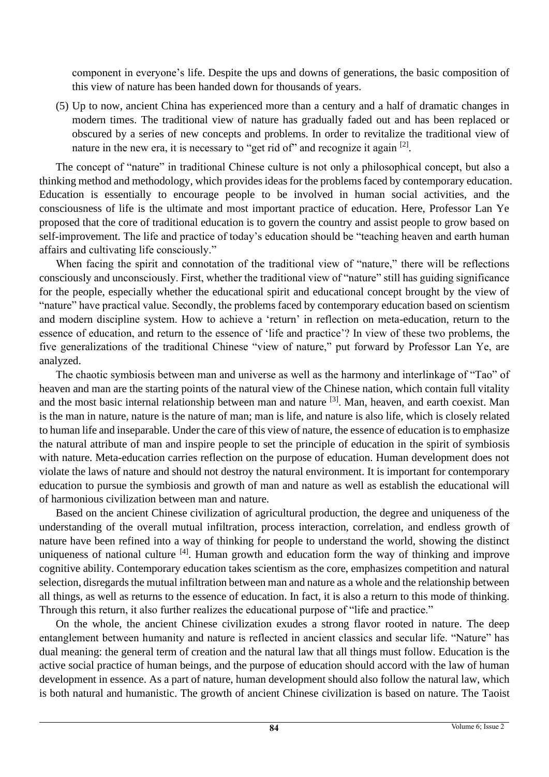component in everyone's life. Despite the ups and downs of generations, the basic composition of this view of nature has been handed down for thousands of years.

(5) Up to now, ancient China has experienced more than a century and a half of dramatic changes in modern times. The traditional view of nature has gradually faded out and has been replaced or obscured by a series of new concepts and problems. In order to revitalize the traditional view of nature in the new era, it is necessary to "get rid of" and recognize it again [2].

The concept of "nature" in traditional Chinese culture is not only a philosophical concept, but also a thinking method and methodology, which provides ideas for the problems faced by contemporary education. Education is essentially to encourage people to be involved in human social activities, and the consciousness of life is the ultimate and most important practice of education. Here, Professor Lan Ye proposed that the core of traditional education is to govern the country and assist people to grow based on self-improvement. The life and practice of today's education should be "teaching heaven and earth human affairs and cultivating life consciously."

When facing the spirit and connotation of the traditional view of "nature," there will be reflections consciously and unconsciously. First, whether the traditional view of "nature" still has guiding significance for the people, especially whether the educational spirit and educational concept brought by the view of "nature" have practical value. Secondly, the problems faced by contemporary education based on scientism and modern discipline system. How to achieve a 'return' in reflection on meta-education, return to the essence of education, and return to the essence of 'life and practice'? In view of these two problems, the five generalizations of the traditional Chinese "view of nature," put forward by Professor Lan Ye, are analyzed.

The chaotic symbiosis between man and universe as well as the harmony and interlinkage of "Tao" of heaven and man are the starting points of the natural view of the Chinese nation, which contain full vitality and the most basic internal relationship between man and nature <sup>[3]</sup>. Man, heaven, and earth coexist. Man is the man in nature, nature is the nature of man; man is life, and nature is also life, which is closely related to human life and inseparable. Under the care of this view of nature, the essence of education is to emphasize the natural attribute of man and inspire people to set the principle of education in the spirit of symbiosis with nature. Meta-education carries reflection on the purpose of education. Human development does not violate the laws of nature and should not destroy the natural environment. It is important for contemporary education to pursue the symbiosis and growth of man and nature as well as establish the educational will of harmonious civilization between man and nature.

Based on the ancient Chinese civilization of agricultural production, the degree and uniqueness of the understanding of the overall mutual infiltration, process interaction, correlation, and endless growth of nature have been refined into a way of thinking for people to understand the world, showing the distinct uniqueness of national culture <sup>[4]</sup>. Human growth and education form the way of thinking and improve cognitive ability. Contemporary education takes scientism as the core, emphasizes competition and natural selection, disregards the mutual infiltration between man and nature as a whole and the relationship between all things, as well as returns to the essence of education. In fact, it is also a return to this mode of thinking. Through this return, it also further realizes the educational purpose of "life and practice."

On the whole, the ancient Chinese civilization exudes a strong flavor rooted in nature. The deep entanglement between humanity and nature is reflected in ancient classics and secular life. "Nature" has dual meaning: the general term of creation and the natural law that all things must follow. Education is the active social practice of human beings, and the purpose of education should accord with the law of human development in essence. As a part of nature, human development should also follow the natural law, which is both natural and humanistic. The growth of ancient Chinese civilization is based on nature. The Taoist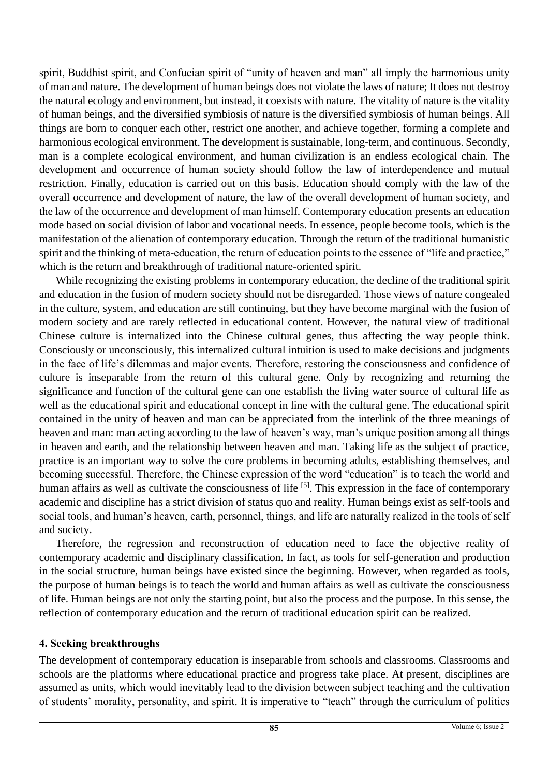spirit, Buddhist spirit, and Confucian spirit of "unity of heaven and man" all imply the harmonious unity of man and nature. The development of human beings does not violate the laws of nature; It does not destroy the natural ecology and environment, but instead, it coexists with nature. The vitality of nature is the vitality of human beings, and the diversified symbiosis of nature is the diversified symbiosis of human beings. All things are born to conquer each other, restrict one another, and achieve together, forming a complete and harmonious ecological environment. The development is sustainable, long-term, and continuous. Secondly, man is a complete ecological environment, and human civilization is an endless ecological chain. The development and occurrence of human society should follow the law of interdependence and mutual restriction. Finally, education is carried out on this basis. Education should comply with the law of the overall occurrence and development of nature, the law of the overall development of human society, and the law of the occurrence and development of man himself. Contemporary education presents an education mode based on social division of labor and vocational needs. In essence, people become tools, which is the manifestation of the alienation of contemporary education. Through the return of the traditional humanistic spirit and the thinking of meta-education, the return of education points to the essence of "life and practice," which is the return and breakthrough of traditional nature-oriented spirit.

While recognizing the existing problems in contemporary education, the decline of the traditional spirit and education in the fusion of modern society should not be disregarded. Those views of nature congealed in the culture, system, and education are still continuing, but they have become marginal with the fusion of modern society and are rarely reflected in educational content. However, the natural view of traditional Chinese culture is internalized into the Chinese cultural genes, thus affecting the way people think. Consciously or unconsciously, this internalized cultural intuition is used to make decisions and judgments in the face of life's dilemmas and major events. Therefore, restoring the consciousness and confidence of culture is inseparable from the return of this cultural gene. Only by recognizing and returning the significance and function of the cultural gene can one establish the living water source of cultural life as well as the educational spirit and educational concept in line with the cultural gene. The educational spirit contained in the unity of heaven and man can be appreciated from the interlink of the three meanings of heaven and man: man acting according to the law of heaven's way, man's unique position among all things in heaven and earth, and the relationship between heaven and man. Taking life as the subject of practice, practice is an important way to solve the core problems in becoming adults, establishing themselves, and becoming successful. Therefore, the Chinese expression of the word "education" is to teach the world and human affairs as well as cultivate the consciousness of life <sup>[5]</sup>. This expression in the face of contemporary academic and discipline has a strict division of status quo and reality. Human beings exist as self-tools and social tools, and human's heaven, earth, personnel, things, and life are naturally realized in the tools of self and society.

Therefore, the regression and reconstruction of education need to face the objective reality of contemporary academic and disciplinary classification. In fact, as tools for self-generation and production in the social structure, human beings have existed since the beginning. However, when regarded as tools, the purpose of human beings is to teach the world and human affairs as well as cultivate the consciousness of life. Human beings are not only the starting point, but also the process and the purpose. In this sense, the reflection of contemporary education and the return of traditional education spirit can be realized.

## **4. Seeking breakthroughs**

The development of contemporary education is inseparable from schools and classrooms. Classrooms and schools are the platforms where educational practice and progress take place. At present, disciplines are assumed as units, which would inevitably lead to the division between subject teaching and the cultivation of students' morality, personality, and spirit. It is imperative to "teach" through the curriculum of politics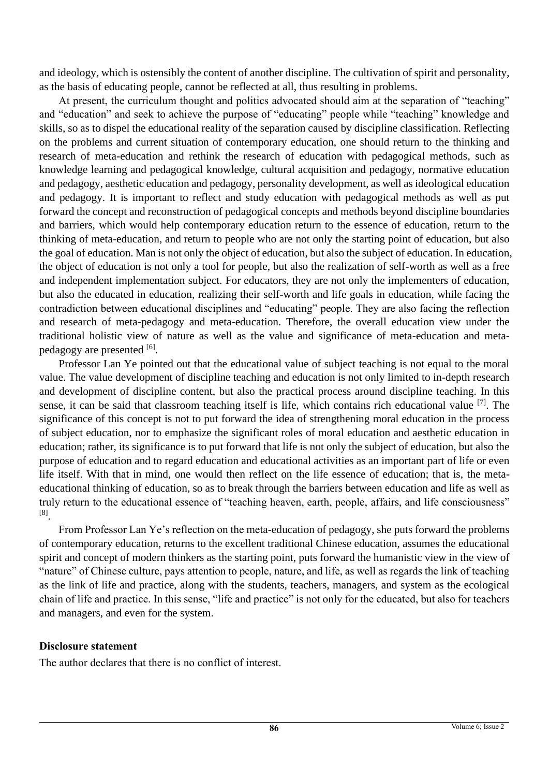and ideology, which is ostensibly the content of another discipline. The cultivation of spirit and personality, as the basis of educating people, cannot be reflected at all, thus resulting in problems.

At present, the curriculum thought and politics advocated should aim at the separation of "teaching" and "education" and seek to achieve the purpose of "educating" people while "teaching" knowledge and skills, so as to dispel the educational reality of the separation caused by discipline classification. Reflecting on the problems and current situation of contemporary education, one should return to the thinking and research of meta-education and rethink the research of education with pedagogical methods, such as knowledge learning and pedagogical knowledge, cultural acquisition and pedagogy, normative education and pedagogy, aesthetic education and pedagogy, personality development, as well as ideological education and pedagogy. It is important to reflect and study education with pedagogical methods as well as put forward the concept and reconstruction of pedagogical concepts and methods beyond discipline boundaries and barriers, which would help contemporary education return to the essence of education, return to the thinking of meta-education, and return to people who are not only the starting point of education, but also the goal of education. Man is not only the object of education, but also the subject of education. In education, the object of education is not only a tool for people, but also the realization of self-worth as well as a free and independent implementation subject. For educators, they are not only the implementers of education, but also the educated in education, realizing their self-worth and life goals in education, while facing the contradiction between educational disciplines and "educating" people. They are also facing the reflection and research of meta-pedagogy and meta-education. Therefore, the overall education view under the traditional holistic view of nature as well as the value and significance of meta-education and metapedagogy are presented [6].

Professor Lan Ye pointed out that the educational value of subject teaching is not equal to the moral value. The value development of discipline teaching and education is not only limited to in-depth research and development of discipline content, but also the practical process around discipline teaching. In this sense, it can be said that classroom teaching itself is life, which contains rich educational value [7]. The significance of this concept is not to put forward the idea of strengthening moral education in the process of subject education, nor to emphasize the significant roles of moral education and aesthetic education in education; rather, its significance is to put forward that life is not only the subject of education, but also the purpose of education and to regard education and educational activities as an important part of life or even life itself. With that in mind, one would then reflect on the life essence of education; that is, the metaeducational thinking of education, so as to break through the barriers between education and life as well as truly return to the educational essence of "teaching heaven, earth, people, affairs, and life consciousness" [8] .

From Professor Lan Ye's reflection on the meta-education of pedagogy, she puts forward the problems of contemporary education, returns to the excellent traditional Chinese education, assumes the educational spirit and concept of modern thinkers as the starting point, puts forward the humanistic view in the view of "nature" of Chinese culture, pays attention to people, nature, and life, as well as regards the link of teaching as the link of life and practice, along with the students, teachers, managers, and system as the ecological chain of life and practice. In this sense, "life and practice" is not only for the educated, but also for teachers and managers, and even for the system.

## **Disclosure statement**

The author declares that there is no conflict of interest.